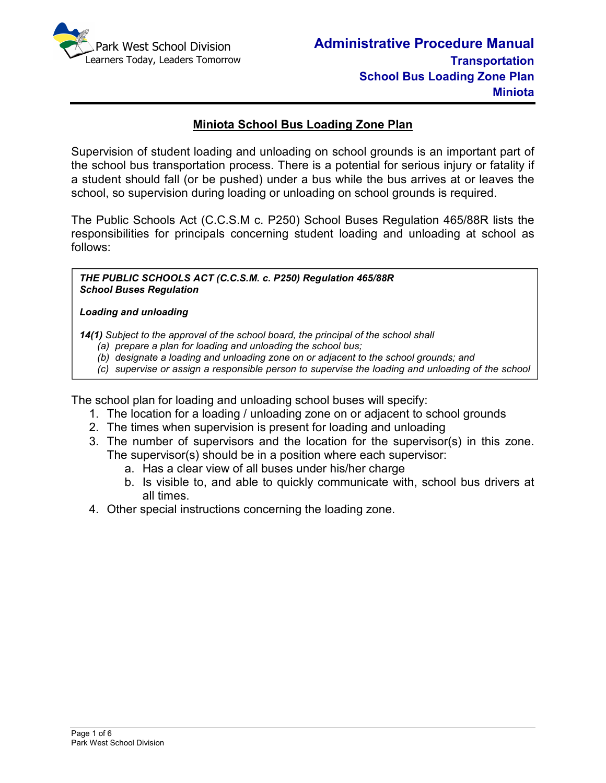

# **Miniota School Bus Loading Zone Plan**

Supervision of student loading and unloading on school grounds is an important part of the school bus transportation process. There is a potential for serious injury or fatality if a student should fall (or be pushed) under a bus while the bus arrives at or leaves the school, so supervision during loading or unloading on school grounds is required.

The Public Schools Act (C.C.S.M c. P250) School Buses Regulation 465/88R lists the responsibilities for principals concerning student loading and unloading at school as follows:

*THE PUBLIC SCHOOLS ACT (C.C.S.M. c. P250) Regulation 465/88R School Buses Regulation* 

#### *Loading and unloading*

*bus.*

*14(1) Subject to the approval of the school board, the principal of the school shall* 

- *(a) prepare a plan for loading and unloading the school bus;*
- *(b) designate a loading and unloading zone on or adjacent to the school grounds; and*
- *(c) supervise or assign a responsible person to supervise the loading and unloading of the school*

The school plan for loading and unloading school buses will specify:

- 1. The location for a loading / unloading zone on or adjacent to school grounds
- 2. The times when supervision is present for loading and unloading
- 3. The number of supervisors and the location for the supervisor(s) in this zone. The supervisor(s) should be in a position where each supervisor:
	- a. Has a clear view of all buses under his/her charge
	- b. Is visible to, and able to quickly communicate with, school bus drivers at all times.
- 4. Other special instructions concerning the loading zone.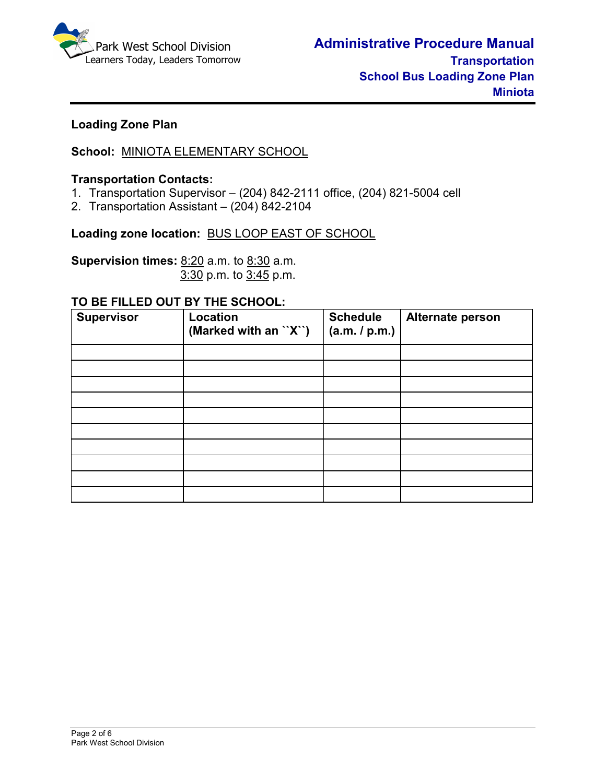

# **Loading Zone Plan**

# **School:** MINIOTA ELEMENTARY SCHOOL

#### **Transportation Contacts:**

- 1. Transportation Supervisor (204) 842-2111 office, (204) 821-5004 cell
- 2. Transportation Assistant (204) 842-2104

#### **Loading zone location:** BUS LOOP EAST OF SCHOOL

**Supervision times:** 8:20 a.m. to 8:30 a.m.3:30 p.m. to 3:45 p.m.

#### **TO BE FILLED OUT BY THE SCHOOL:**

| <b>Supervisor</b> | Location<br>(Marked with an ``X``) | <b>Schedule</b><br>(a.m. / p.m.) | Alternate person |
|-------------------|------------------------------------|----------------------------------|------------------|
|                   |                                    |                                  |                  |
|                   |                                    |                                  |                  |
|                   |                                    |                                  |                  |
|                   |                                    |                                  |                  |
|                   |                                    |                                  |                  |
|                   |                                    |                                  |                  |
|                   |                                    |                                  |                  |
|                   |                                    |                                  |                  |
|                   |                                    |                                  |                  |
|                   |                                    |                                  |                  |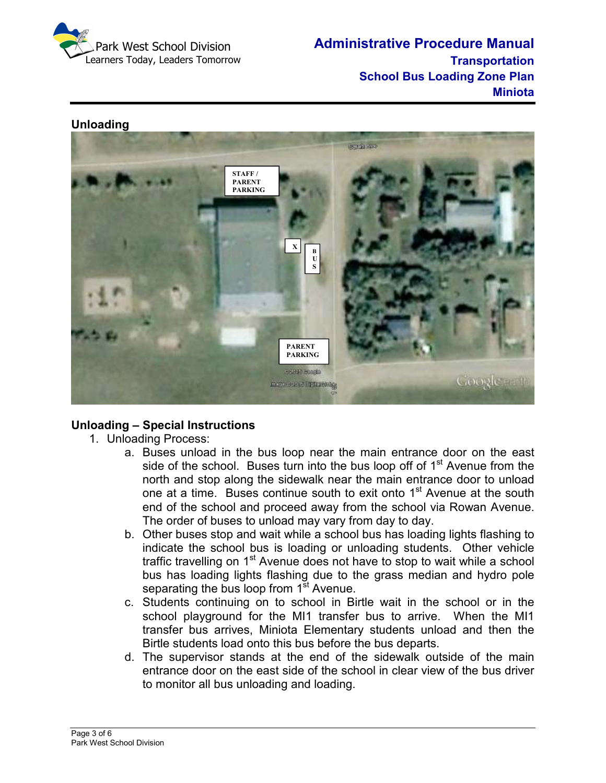

**Administrative Procedure Manual Transportation School Bus Loading Zone Plan Miniota** 



# **Unloading**

# **Unloading – Special Instructions**

- 1. Unloading Process:
	- a. Buses unload in the bus loop near the main entrance door on the east side of the school. Buses turn into the bus loop off of  $1<sup>st</sup>$  Avenue from the north and stop along the sidewalk near the main entrance door to unload one at a time. Buses continue south to exit onto 1<sup>st</sup> Avenue at the south end of the school and proceed away from the school via Rowan Avenue. The order of buses to unload may vary from day to day.
	- b. Other buses stop and wait while a school bus has loading lights flashing to indicate the school bus is loading or unloading students. Other vehicle traffic travelling on  $1<sup>st</sup>$  Avenue does not have to stop to wait while a school bus has loading lights flashing due to the grass median and hydro pole separating the bus loop from  $1<sup>st</sup>$  Avenue.
	- c. Students continuing on to school in Birtle wait in the school or in the school playground for the MI1 transfer bus to arrive. When the MI1 transfer bus arrives, Miniota Elementary students unload and then the Birtle students load onto this bus before the bus departs.
	- d. The supervisor stands at the end of the sidewalk outside of the main entrance door on the east side of the school in clear view of the bus driver to monitor all bus unloading and loading.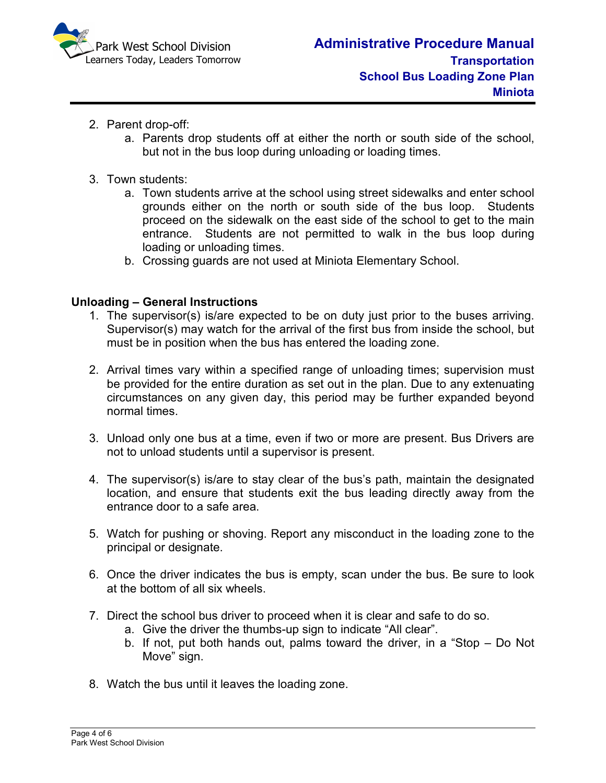

- 2. Parent drop-off:
	- a. Parents drop students off at either the north or south side of the school, but not in the bus loop during unloading or loading times.
- 3. Town students:
	- a. Town students arrive at the school using street sidewalks and enter school grounds either on the north or south side of the bus loop. Students proceed on the sidewalk on the east side of the school to get to the main entrance. Students are not permitted to walk in the bus loop during loading or unloading times.
	- b. Crossing guards are not used at Miniota Elementary School.

### **Unloading – General Instructions**

- 1. The supervisor(s) is/are expected to be on duty just prior to the buses arriving. Supervisor(s) may watch for the arrival of the first bus from inside the school, but must be in position when the bus has entered the loading zone.
- 2. Arrival times vary within a specified range of unloading times; supervision must be provided for the entire duration as set out in the plan. Due to any extenuating circumstances on any given day, this period may be further expanded beyond normal times.
- 3. Unload only one bus at a time, even if two or more are present. Bus Drivers are not to unload students until a supervisor is present.
- 4. The supervisor(s) is/are to stay clear of the bus's path, maintain the designated location, and ensure that students exit the bus leading directly away from the entrance door to a safe area.
- 5. Watch for pushing or shoving. Report any misconduct in the loading zone to the principal or designate.
- 6. Once the driver indicates the bus is empty, scan under the bus. Be sure to look at the bottom of all six wheels.
- 7. Direct the school bus driver to proceed when it is clear and safe to do so.
	- a. Give the driver the thumbs-up sign to indicate "All clear".
	- b. If not, put both hands out, palms toward the driver, in a "Stop Do Not Move" sign.
- 8. Watch the bus until it leaves the loading zone.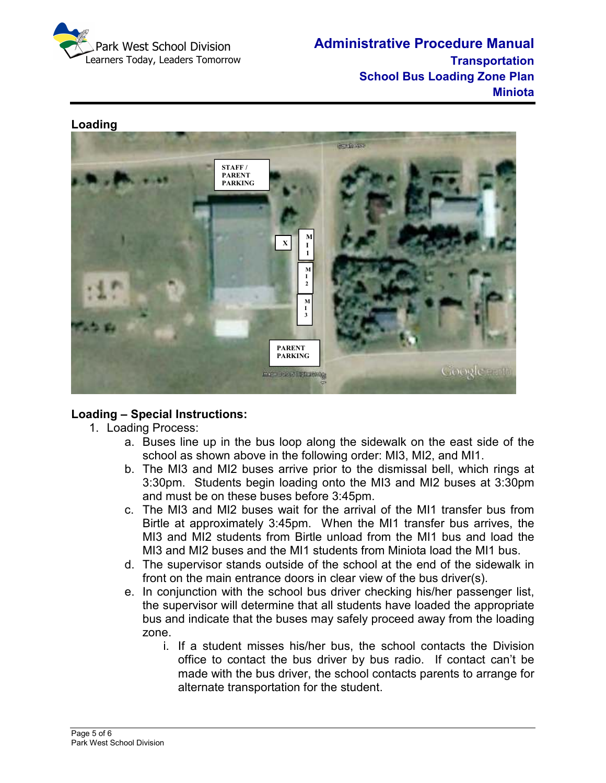

**Administrative Procedure Manual Transportation School Bus Loading Zone Plan Miniota** 



### **Loading – Special Instructions:**

- 1. Loading Process:
	- a. Buses line up in the bus loop along the sidewalk on the east side of the school as shown above in the following order: MI3, MI2, and MI1.
	- b. The MI3 and MI2 buses arrive prior to the dismissal bell, which rings at 3:30pm. Students begin loading onto the MI3 and MI2 buses at 3:30pm and must be on these buses before 3:45pm.
	- c. The MI3 and MI2 buses wait for the arrival of the MI1 transfer bus from Birtle at approximately 3:45pm. When the MI1 transfer bus arrives, the MI3 and MI2 students from Birtle unload from the MI1 bus and load the MI3 and MI2 buses and the MI1 students from Miniota load the MI1 bus.
	- d. The supervisor stands outside of the school at the end of the sidewalk in front on the main entrance doors in clear view of the bus driver(s).
	- e. In conjunction with the school bus driver checking his/her passenger list, the supervisor will determine that all students have loaded the appropriate bus and indicate that the buses may safely proceed away from the loading zone.
		- i. If a student misses his/her bus, the school contacts the Division office to contact the bus driver by bus radio. If contact can't be made with the bus driver, the school contacts parents to arrange for alternate transportation for the student.

# **Loading**